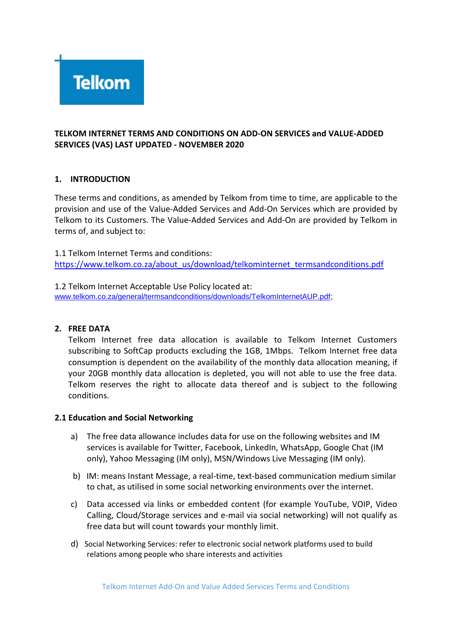

## **TELKOM INTERNET TERMS AND CONDITIONS ON ADD-ON SERVICES and VALUE-ADDED SERVICES (VAS) LAST UPDATED - NOVEMBER 2020**

### **1. INTRODUCTION**

These terms and conditions, as amended by Telkom from time to time, are applicable to the provision and use of the Value-Added Services and Add-On Services which are provided by Telkom to its Customers. The Value-Added Services and Add-On are provided by Telkom in terms of, and subject to:

1.1 Telkom Internet Terms and conditions: [https://www.telkom.co.za/about\\_us/download/telkominternet\\_termsandconditions.pdf](https://www.telkom.co.za/about_us/download/telkominternet_termsandconditions.pdf)

1.2 Telkom Internet Acceptable Use Policy located at: [www.telkom.co.za/general/termsandconditions/downloads/TelkomInternetAUP.pdf;](http://www.telkom.co.za/general/termsandconditions/downloads/TelkomInternetAUP.pdf)

### **2. FREE DATA**

Telkom Internet free data allocation is available to Telkom Internet Customers subscribing to SoftCap products excluding the 1GB, 1Mbps. Telkom Internet free data consumption is dependent on the availability of the monthly data allocation meaning, if your 20GB monthly data allocation is depleted, you will not able to use the free data. Telkom reserves the right to allocate data thereof and is subject to the following conditions.

### **2.1 Education and Social Networking**

- a) The free data allowance includes data for use on the following websites and IM services is available for Twitter, Facebook, LinkedIn, WhatsApp, Google Chat (IM only), Yahoo Messaging (IM only), MSN/Windows Live Messaging (IM only).
- b) IM: means Instant Message, a real-time, text-based communication medium similar to chat, as utilised in some social networking environments over the internet.
- c) Data accessed via links or embedded content (for example YouTube, VOIP, Video Calling, Cloud/Storage services and e-mail via social networking) will not qualify as free data but will count towards your monthly limit.
- d) Social Networking Services: refer to electronic social network platforms used to build relations among people who share interests and activities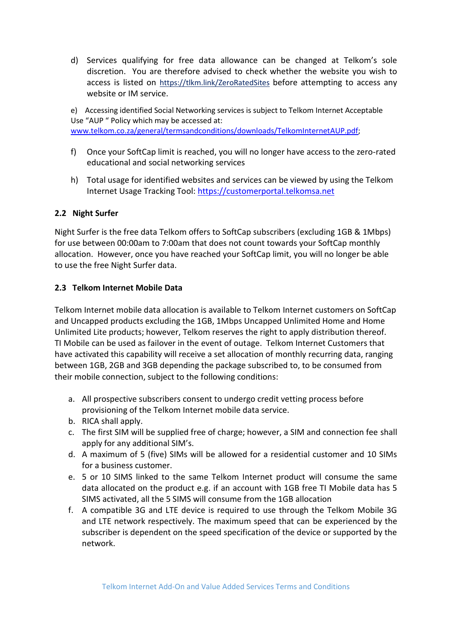d) Services qualifying for free data allowance can be changed at Telkom's sole discretion. You are therefore advised to check whether the website you wish to access is listed on <https://tlkm.link/ZeroRatedSites> before attempting to access any website or IM service.

e) Accessing identified Social Networking services is subject to Telkom Internet Acceptable Use "AUP " Policy which may be accessed at: [www.telkom.co.za/general/termsandconditions/downloads/TelkomInternetAUP.pdf;](http://www.telkom.co.za/general/termsandconditions/downloads/TelkomInternetAUP.pdf)

- f) Once your SoftCap limit is reached, you will no longer have access to the zero-rated educational and social networking services
- h) Total usage for identified websites and services can be viewed by using the Telkom Internet Usage Tracking Tool: [https://customerportal.telkomsa.net](https://customerportal.telkomsa.net/)

# **2.2 Night Surfer**

Night Surfer is the free data Telkom offers to SoftCap subscribers (excluding 1GB & 1Mbps) for use between 00:00am to 7:00am that does not count towards your SoftCap monthly allocation. However, once you have reached your SoftCap limit, you will no longer be able to use the free Night Surfer data.

## **2.3 Telkom Internet Mobile Data**

Telkom Internet mobile data allocation is available to Telkom Internet customers on SoftCap and Uncapped products excluding the 1GB, 1Mbps Uncapped Unlimited Home and Home Unlimited Lite products; however, Telkom reserves the right to apply distribution thereof. TI Mobile can be used as failover in the event of outage. Telkom Internet Customers that have activated this capability will receive a set allocation of monthly recurring data, ranging between 1GB, 2GB and 3GB depending the package subscribed to, to be consumed from their mobile connection, subject to the following conditions:

- a. All prospective subscribers consent to undergo credit vetting process before provisioning of the Telkom Internet mobile data service.
- b. RICA shall apply.
- c. The first SIM will be supplied free of charge; however, a SIM and connection fee shall apply for any additional SIM's.
- d. A maximum of 5 (five) SIMs will be allowed for a residential customer and 10 SIMs for a business customer.
- e. 5 or 10 SIMS linked to the same Telkom Internet product will consume the same data allocated on the product e.g. if an account with 1GB free TI Mobile data has 5 SIMS activated, all the 5 SIMS will consume from the 1GB allocation
- f. A compatible 3G and LTE device is required to use through the Telkom Mobile 3G and LTE network respectively. The maximum speed that can be experienced by the subscriber is dependent on the speed specification of the device or supported by the network.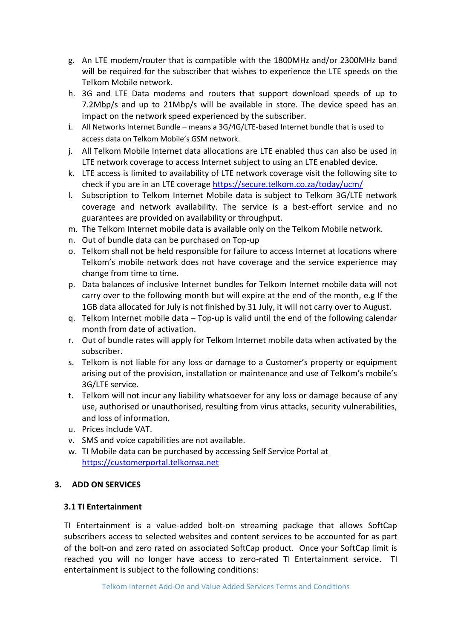- g. An LTE modem/router that is compatible with the 1800MHz and/or 2300MHz band will be required for the subscriber that wishes to experience the LTE speeds on the Telkom Mobile network.
- h. 3G and LTE Data modems and routers that support download speeds of up to 7.2Mbp/s and up to 21Mbp/s will be available in store. The device speed has an impact on the network speed experienced by the subscriber.
- i. All Networks Internet Bundle means a 3G/4G/LTE-based Internet bundle that is used to access data on Telkom Mobile's GSM network.
- j. All Telkom Mobile Internet data allocations are LTE enabled thus can also be used in LTE network coverage to access Internet subject to using an LTE enabled device.
- k. LTE access is limited to availability of LTE network coverage visit the following site to check if you are in an LTE coverage<https://secure.telkom.co.za/today/ucm/>
- l. Subscription to Telkom Internet Mobile data is subject to Telkom 3G/LTE network coverage and network availability. The service is a best-effort service and no guarantees are provided on availability or throughput.
- m. The Telkom Internet mobile data is available only on the Telkom Mobile network.
- n. Out of bundle data can be purchased on Top-up
- o. Telkom shall not be held responsible for failure to access Internet at locations where Telkom's mobile network does not have coverage and the service experience may change from time to time.
- p. Data balances of inclusive Internet bundles for Telkom Internet mobile data will not carry over to the following month but will expire at the end of the month, e.g If the 1GB data allocated for July is not finished by 31 July, it will not carry over to August.
- q. Telkom Internet mobile data Top-up is valid until the end of the following calendar month from date of activation.
- r. Out of bundle rates will apply for Telkom Internet mobile data when activated by the subscriber.
- s. Telkom is not liable for any loss or damage to a Customer's property or equipment arising out of the provision, installation or maintenance and use of Telkom's mobile's 3G/LTE service.
- t. Telkom will not incur any liability whatsoever for any loss or damage because of any use, authorised or unauthorised, resulting from virus attacks, security vulnerabilities, and loss of information.
- u. Prices include VAT.
- v. SMS and voice capabilities are not available.
- w. TI Mobile data can be purchased by accessing Self Service Portal at [https://customerportal.telkomsa.net](https://customerportal.telkomsa.net/)

## **3. ADD ON SERVICES**

### **3.1 TI Entertainment**

TI Entertainment is a value-added bolt-on streaming package that allows SoftCap subscribers access to selected websites and content services to be accounted for as part of the bolt-on and zero rated on associated SoftCap product. Once your SoftCap limit is reached you will no longer have access to zero-rated TI Entertainment service. TI entertainment is subject to the following conditions: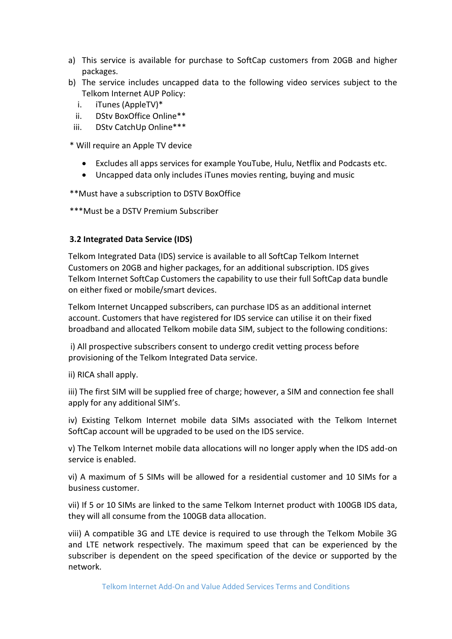- a) This service is available for purchase to SoftCap customers from 20GB and higher packages.
- b) The service includes uncapped data to the following video services subject to the Telkom Internet AUP Policy:
	- i. iTunes (AppleTV)\*
	- ii. DStv BoxOffice Online\*\*
	- iii. DStv CatchUp Online\*\*\*

\* Will require an Apple TV device

- Excludes all apps services for example YouTube, Hulu, Netflix and Podcasts etc.
- Uncapped data only includes iTunes movies renting, buying and music

\*\*Must have a subscription to DSTV BoxOffice

\*\*\*Must be a DSTV Premium Subscriber

### **3.2 Integrated Data Service (IDS)**

Telkom Integrated Data (IDS) service is available to all SoftCap Telkom Internet Customers on 20GB and higher packages, for an additional subscription. IDS gives Telkom Internet SoftCap Customers the capability to use their full SoftCap data bundle on either fixed or mobile/smart devices.

Telkom Internet Uncapped subscribers, can purchase IDS as an additional internet account. Customers that have registered for IDS service can utilise it on their fixed broadband and allocated Telkom mobile data SIM, subject to the following conditions:

i) All prospective subscribers consent to undergo credit vetting process before provisioning of the Telkom Integrated Data service.

ii) RICA shall apply.

iii) The first SIM will be supplied free of charge; however, a SIM and connection fee shall apply for any additional SIM's.

iv) Existing Telkom Internet mobile data SIMs associated with the Telkom Internet SoftCap account will be upgraded to be used on the IDS service.

v) The Telkom Internet mobile data allocations will no longer apply when the IDS add-on service is enabled.

vi) A maximum of 5 SIMs will be allowed for a residential customer and 10 SIMs for a business customer.

vii) If 5 or 10 SIMs are linked to the same Telkom Internet product with 100GB IDS data, they will all consume from the 100GB data allocation.

viii) A compatible 3G and LTE device is required to use through the Telkom Mobile 3G and LTE network respectively. The maximum speed that can be experienced by the subscriber is dependent on the speed specification of the device or supported by the network.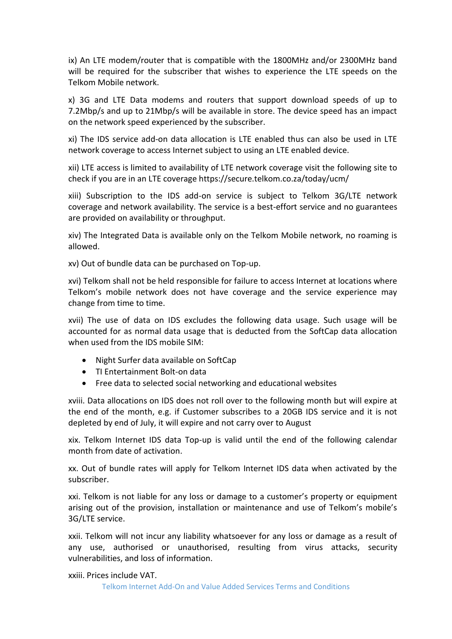ix) An LTE modem/router that is compatible with the 1800MHz and/or 2300MHz band will be required for the subscriber that wishes to experience the LTE speeds on the Telkom Mobile network.

x) 3G and LTE Data modems and routers that support download speeds of up to 7.2Mbp/s and up to 21Mbp/s will be available in store. The device speed has an impact on the network speed experienced by the subscriber.

xi) The IDS service add-on data allocation is LTE enabled thus can also be used in LTE network coverage to access Internet subject to using an LTE enabled device.

xii) LTE access is limited to availability of LTE network coverage visit the following site to check if you are in an LTE coverage https://secure.telkom.co.za/today/ucm/

xiii) Subscription to the IDS add-on service is subject to Telkom 3G/LTE network coverage and network availability. The service is a best-effort service and no guarantees are provided on availability or throughput.

xiv) The Integrated Data is available only on the Telkom Mobile network, no roaming is allowed.

xv) Out of bundle data can be purchased on Top-up.

xvi) Telkom shall not be held responsible for failure to access Internet at locations where Telkom's mobile network does not have coverage and the service experience may change from time to time.

xvii) The use of data on IDS excludes the following data usage. Such usage will be accounted for as normal data usage that is deducted from the SoftCap data allocation when used from the IDS mobile SIM:

- Night Surfer data available on SoftCap
- TI Entertainment Bolt-on data
- Free data to selected social networking and educational websites

xviii. Data allocations on IDS does not roll over to the following month but will expire at the end of the month, e.g. if Customer subscribes to a 20GB IDS service and it is not depleted by end of July, it will expire and not carry over to August

xix. Telkom Internet IDS data Top-up is valid until the end of the following calendar month from date of activation.

xx. Out of bundle rates will apply for Telkom Internet IDS data when activated by the subscriber.

xxi. Telkom is not liable for any loss or damage to a customer's property or equipment arising out of the provision, installation or maintenance and use of Telkom's mobile's 3G/LTE service.

xxii. Telkom will not incur any liability whatsoever for any loss or damage as a result of any use, authorised or unauthorised, resulting from virus attacks, security vulnerabilities, and loss of information.

xxiii. Prices include VAT.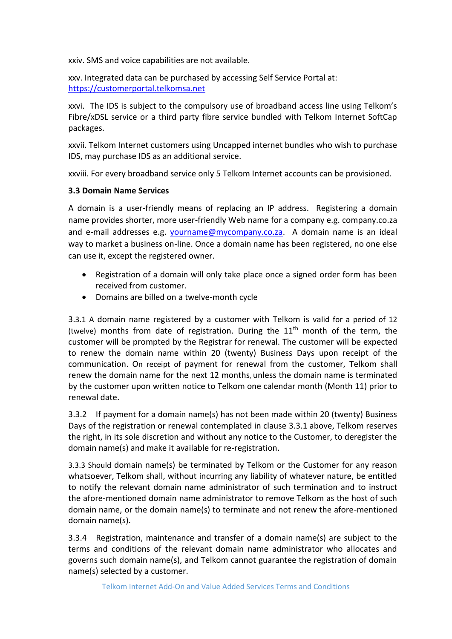xxiv. SMS and voice capabilities are not available.

xxv. Integrated data can be purchased by accessing Self Service Portal at: [https://customerportal.telkomsa.net](https://customerportal.telkomsa.net/) 

xxvi. The IDS is subject to the compulsory use of broadband access line using Telkom's Fibre/xDSL service or a third party fibre service bundled with Telkom Internet SoftCap packages.

xxvii. Telkom Internet customers using Uncapped internet bundles who wish to purchase IDS, may purchase IDS as an additional service.

xxviii. For every broadband service only 5 Telkom Internet accounts can be provisioned.

#### **3.3 Domain Name Services**

A domain is a user-friendly means of replacing an IP address. Registering a domain name provides shorter, more user-friendly Web name for a company e.g. company.co.za and e-mail addresses e.g. [yourname@mycompany.co.za.](mailto:yourname@mycompany.co.za) A domain name is an ideal way to market a business on-line. Once a domain name has been registered, no one else can use it, except the registered owner.

- Registration of a domain will only take place once a signed order form has been received from customer.
- Domains are billed on a twelve-month cycle

3.3.1 A domain name registered by a customer with Telkom is valid for a period of 12 (twelve) months from date of registration. During the  $11<sup>th</sup>$  month of the term, the customer will be prompted by the Registrar for renewal. The customer will be expected to renew the domain name within 20 (twenty) Business Days upon receipt of the communication. On receipt of payment for renewal from the customer, Telkom shall renew the domain name for the next 12 months, unless the domain name is terminated by the customer upon written notice to Telkom one calendar month (Month 11) prior to renewal date.

3.3.2 If payment for a domain name(s) has not been made within 20 (twenty) Business Days of the registration or renewal contemplated in clause 3.3.1 above, Telkom reserves the right, in its sole discretion and without any notice to the Customer, to deregister the domain name(s) and make it available for re-registration.

3.3.3 Should domain name(s) be terminated by Telkom or the Customer for any reason whatsoever, Telkom shall, without incurring any liability of whatever nature, be entitled to notify the relevant domain name administrator of such termination and to instruct the afore-mentioned domain name administrator to remove Telkom as the host of such domain name, or the domain name(s) to terminate and not renew the afore-mentioned domain name(s).

3.3.4 Registration, maintenance and transfer of a domain name(s) are subject to the terms and conditions of the relevant domain name administrator who allocates and governs such domain name(s), and Telkom cannot guarantee the registration of domain name(s) selected by a customer.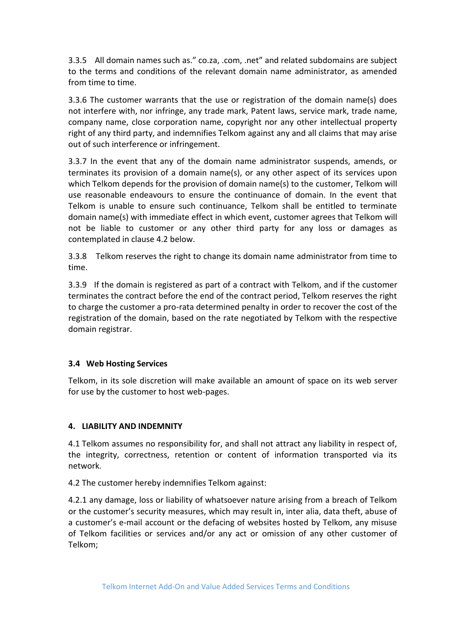3.3.5 All domain names such as." co.za, .com, .net" and related subdomains are subject to the terms and conditions of the relevant domain name administrator, as amended from time to time.

3.3.6 The customer warrants that the use or registration of the domain name(s) does not interfere with, nor infringe, any trade mark, Patent laws, service mark, trade name, company name, close corporation name, copyright nor any other intellectual property right of any third party, and indemnifies Telkom against any and all claims that may arise out of such interference or infringement.

3.3.7 In the event that any of the domain name administrator suspends, amends, or terminates its provision of a domain name(s), or any other aspect of its services upon which Telkom depends for the provision of domain name(s) to the customer, Telkom will use reasonable endeavours to ensure the continuance of domain. In the event that Telkom is unable to ensure such continuance, Telkom shall be entitled to terminate domain name(s) with immediate effect in which event, customer agrees that Telkom will not be liable to customer or any other third party for any loss or damages as contemplated in clause 4.2 below.

3.3.8 Telkom reserves the right to change its domain name administrator from time to time.

3.3.9 If the domain is registered as part of a contract with Telkom, and if the customer terminates the contract before the end of the contract period, Telkom reserves the right to charge the customer a pro-rata determined penalty in order to recover the cost of the registration of the domain, based on the rate negotiated by Telkom with the respective domain registrar.

## **3.4 Web Hosting Services**

Telkom, in its sole discretion will make available an amount of space on its web server for use by the customer to host web-pages.

### **4. LIABILITY AND INDEMNITY**

4.1 Telkom assumes no responsibility for, and shall not attract any liability in respect of, the integrity, correctness, retention or content of information transported via its network.

4.2 The customer hereby indemnifies Telkom against:

4.2.1 any damage, loss or liability of whatsoever nature arising from a breach of Telkom or the customer's security measures, which may result in, inter alia, data theft, abuse of a customer's e-mail account or the defacing of websites hosted by Telkom, any misuse of Telkom facilities or services and/or any act or omission of any other customer of Telkom;